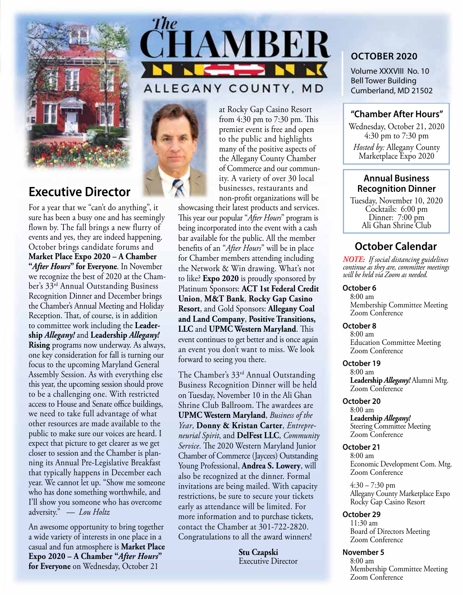

## **Executive Director**

For a year that we "can't do anything", it sure has been a busy one and has seemingly flown by. The fall brings a new flurry of events and yes, they are indeed happening. October brings candidate forums and **Market Place Expo 2020 – A Chamber "***After Hours***" for Everyone**. In November we recognize the best of 2020 at the Chamber's 33rd Annual Outstanding Business Recognition Dinner and December brings the Chamber's Annual Meeting and Holiday Reception. That, of course, is in addition to committee work including the **Leadership** *Allegany!* and **Leadership** *Allegany!* **Rising** programs now underway. As always, one key consideration for fall is turning our focus to the upcoming Maryland General Assembly Session. As with everything else this year, the upcoming session should prove to be a challenging one. With restricted access to House and Senate office buildings, we need to take full advantage of what other resources are made available to the public to make sure our voices are heard. I expect that picture to get clearer as we get closer to session and the Chamber is planning its Annual Pre-Legislative Breakfast that typically happens in December each year. We cannot let up. "Show me someone who has done something worthwhile, and I'll show you someone who has overcome adversity." *— Lou Holtz*

An awesome opportunity to bring together a wide variety of interests in one place in a casual and fun atmosphere is **Market Place Expo 2020 – A Chamber "***After Hours***" for Everyone** on Wednesday, October 21



### ALLEGANY COUNTY, MD



at Rocky Gap Casino Resort from 4:30 pm to 7:30 pm. This premier event is free and open to the public and highlights many of the positive aspects of the Allegany County Chamber of Commerce and our community. A variety of over 30 local businesses, restaurants and non-profit organizations will be

showcasing their latest products and services. This year our popular "*After Hours*" program is being incorporated into the event with a cash bar available for the public. All the member benefits of an "*After Hours*" will be in place for Chamber members attending including the Network & Win drawing. What's not to like? **Expo 2020** is proudly sponsored by Platinum Sponsors: **ACT 1st Federal Credit Union**, **M&T Bank**, **Rocky Gap Casino Resort**, and Gold Sponsors: **Allegany Coal and Land Company**, **Positive Transitions, LLC** and **UPMC Western Maryland**. This event continues to get better and is once again an event you don't want to miss. We look forward to seeing you there.

The Chamber's 33<sup>rd</sup> Annual Outstanding Business Recognition Dinner will be held on Tuesday, November 10 in the Ali Ghan Shrine Club Ballroom. The awardees are **UPMC Western Maryland**, *Business of the Year*, **Donny & Kristan Carter**, *Entrepreneurial Spirit*, and **DelFest LLC**, *Community Service*. The 2020 Western Maryland Junior Chamber of Commerce (Jaycees) Outstanding Young Professional, **Andrea S. Lowery**, will also be recognized at the dinner. Formal invitations are being mailed. With capacity restrictions, be sure to secure your tickets early as attendance will be limited. For more information and to purchase tickets, contact the Chamber at 301-722-2820. Congratulations to all the award winners!

> **Stu Czapski** Executive Director

#### **OCTOber 2020**

Volume XXXVIII No. 10 Bell Tower Building Cumberland, MD 21502

#### **"Chamber After Hours"**

Wednesday, October 21, 2020 4:30 pm to 7:30 pm *Hosted by:* Allegany County Marketplace Expo 2020

#### **Annual Business Recognition Dinner**

Tuesday, November 10, 2020 Cocktails: 6:00 pm Dinner: 7:00 pm Ali Ghan Shrine Club

### **October Calendar**

*NOTE: If social distancing guidelines continue as they are, committee meetings will be held via Zoom as needed.*

#### **October 6**

8:00 am Membership Committee Meeting Zoom Conference

#### **October 8**

8:00 am Education Committee Meeting Zoom Conference

#### **October 19**

8:00 am **Leadership** *Allegany!* Alumni Mtg. Zoom Conference

#### **October 20**

8:00 am **Leadership** *Allegany!*  Steering Committee Meeting Zoom Conference

#### **October 21**

8:00 am Economic Development Com. Mtg. Zoom Conference

4:30 – 7:30 pm Allegany County Marketplace Expo Rocky Gap Casino Resort

# **October 29**<br>11:30 am

Board of Directors Meeting Zoom Conference

#### **November 5**

8:00 am Membership Committee Meeting Zoom Conference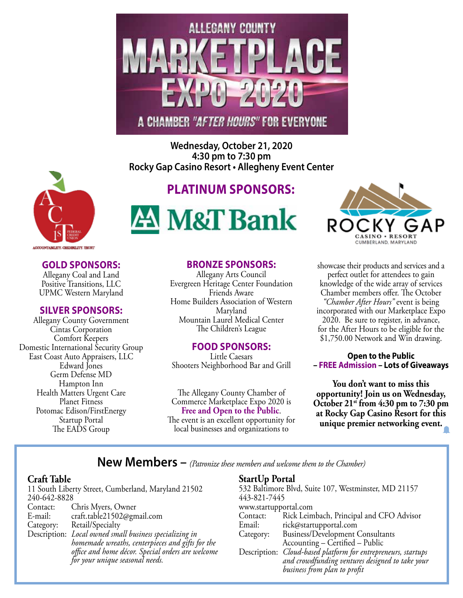

**Wednesday, October 21, 2020 4:30 pm to 7:30 pm Rocky Gap Casino Resort • Allegheny Event Center**



## **Platinum Sponsors:**





Allegany Coal and Land Positive Transitions, LLC UPMC Western Maryland

#### **silver Sponsors:**

Allegany County Government Cintas Corporation Comfort Keepers Domestic International Security Group East Coast Auto Appraisers, LLC Edward Jones Germ Defense MD Hampton Inn Health Matters Urgent Care Planet Fitness Potomac Edison/FirstEnergy Startup Portal The EADS Group

#### **bronze Sponsors:**

Allegany Arts Council Evergreen Heritage Center Foundation Friends Aware Home Builders Association of Western Maryland Mountain Laurel Medical Center The Children's League

#### **FOOD Sponsors:**

Little Caesars Shooters Neighborhood Bar and Grill

The Allegany County Chamber of Commerce Marketplace Expo 2020 is **Free and Open to the Public**. The event is an excellent opportunity for local businesses and organizations to



showcase their products and services and a perfect outlet for attendees to gain knowledge of the wide array of services Chamber members offer. The October *"Chamber After Hours"* event is being incorporated with our Marketplace Expo 2020. Be sure to register, in advance, for the After Hours to be eligible for the \$1,750.00 Network and Win drawing.

#### **Open to the Public – FREE Admission – Lots of Giveaways**

**You don't want to miss this opportunity! Join us on Wednesday, October 21st from 4:30 pm to 7:30 pm at Rocky Gap Casino Resort for this unique premier networking event.**

**New Members –** *(Patronize these members and welcome them to the Chamber)*

#### **Craft Table**

11 South Liberty Street, Cumberland, Maryland 21502 240-642-8828<br>Contact: Contact: Chris Myers, Owner<br>E-mail: craft.table21502@gm E-mail: craft.table21502@gmail.com<br>Category: Retail/Specialty Retail/Specialty Description: *Local owned small business specializing in homemade wreaths, centerpieces and gifts for the office and home décor. Special orders are welcome for your unique seasonal needs.* 

#### **StartUp Portal**

| 532 Baltimore Blvd, Suite 107, Westminster, MD 21157 |                                                                                                                                                                 |
|------------------------------------------------------|-----------------------------------------------------------------------------------------------------------------------------------------------------------------|
| 443-821-7445                                         |                                                                                                                                                                 |
| www.startupportal.com                                |                                                                                                                                                                 |
| Contact:                                             | Rick Leimbach, Principal and CFO Advisor                                                                                                                        |
| Email:                                               | rick@startupportal.com                                                                                                                                          |
| Category:                                            | Business/Development Consultants                                                                                                                                |
|                                                      | Accounting - Certified - Public                                                                                                                                 |
|                                                      |                                                                                                                                                                 |
|                                                      |                                                                                                                                                                 |
|                                                      | Description: <i>Cloud-based platform for entrepreneurs</i> , <i>startups</i><br>and crowdfunding ventures designed to take your<br>business from plan to profit |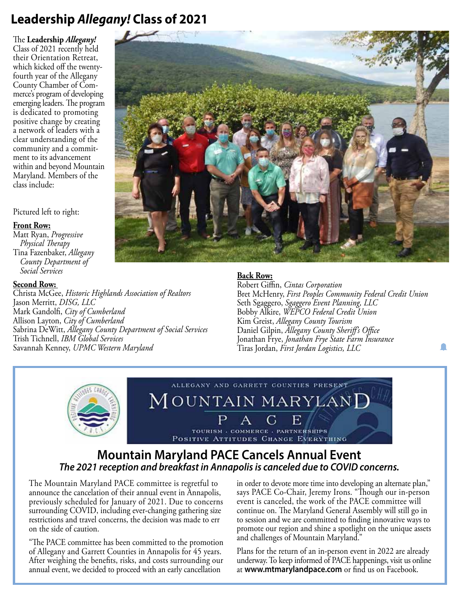# **Leadership** *Allegany!* **Class of 2021**

The **Leadership** *Allegany!* Class of 2021 recently held their Orientation Retreat, which kicked off the twentyfourth year of the Allegany County Chamber of Commerce's program of developing emerging leaders. The program is dedicated to promoting positive change by creating a network of leaders with a clear understanding of the community and a commitment to its advancement within and beyond Mountain Maryland. Members of the class include:

#### Pictured left to right:

#### **Front Row:**

Matt Ryan, *Progressive Physical Therapy* Tina Fazenbaker, *Allegany County Department of Social Services*

#### **Second Row:**

Christa McGee, *Historic Highlands Association of Realtors* Jason Merritt, *DISG, LLC* Mark Gandolfi, *City of Cumberland* Allison Layton, *City of Cumberland* Sabrina DeWitt, *Allegany County Department of Social Services* Trish Tichnell, *IBM Global Services* Savannah Kenney, *UPMC Western Maryland*

#### **Back Row:**

TOURISM - COMMERCE - PARTNERSHIPS POSITIVE ATTITUDES CHANGE EVERYTHING

Robert Giffin, *Cintas Corporation* Bret McHenry, *First Peoples Community Federal Credit Union* Seth Sgaggero, *Sgaggero Event Planning, LLC* Bobby Alkire, *WEPCO Federal Credit Union* Kim Greist, *Allegany County Tourism* Daniel Gilpin, *Allegany County Sheriff's Office* Jonathan Frye, *Jonathan Frye State Farm Insurance* Tiras Jordan, *First Jordan Logistics, LLC*



### **Mountain Maryland PACE Cancels Annual Event** *The 2021 reception and breakfast in Annapolis is canceled due to COVID concerns.*

The Mountain Maryland PACE committee is regretful to announce the cancelation of their annual event in Annapolis, previously scheduled for January of 2021. Due to concerns surrounding COVID, including ever-changing gathering size restrictions and travel concerns, the decision was made to err on the side of caution.

"The PACE committee has been committed to the promotion of Allegany and Garrett Counties in Annapolis for 45 years. After weighing the benefits, risks, and costs surrounding our annual event, we decided to proceed with an early cancellation

in order to devote more time into developing an alternate plan," says PACE Co-Chair, Jeremy Irons. "Though our in-person event is canceled, the work of the PACE committee will continue on. The Maryland General Assembly will still go in to session and we are committed to finding innovative ways to promote our region and shine a spotlight on the unique assets and challenges of Mountain Maryland."

Plans for the return of an in-person event in 2022 are already underway. To keep informed of PACE happenings, visit us online at **www.mtmarylandpace.com** or find us on Facebook.

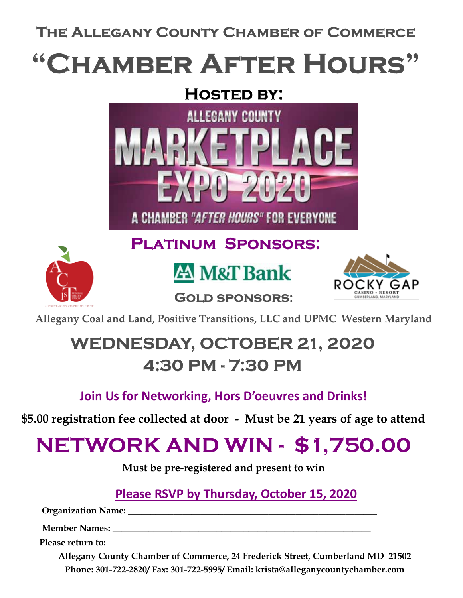The Allegany County Chamber of Commerce

# "Chamber After Hours"

# Hosted by:





Platinum Sponsors:





Allegany Coal and Land, Positive Transitions, LLC and UPMC Western Maryland

Gold sponsors:

# WEDNESDAY, OCTOBER 21, 2020 4:30 PM - 7:30 PM

# Join Us for Networking, Hors D'oeuvres and Drinks!

\$5.00 registration fee collected at door - Must be 21 years of age to attend

# NETWORK AND WIN - \$1,750.00

Must be pre-registered and present to win

Please RSVP by Thursday, October 15, 2020

Organization Name: \_\_\_\_\_\_\_\_\_\_\_\_\_\_\_\_\_\_\_\_\_\_\_\_\_\_\_\_\_\_\_\_\_\_\_\_\_\_\_\_\_\_\_\_\_\_\_\_\_\_\_\_\_\_\_

Member Names:

Please return to:

Allegany County Chamber of Commerce, 24 Frederick Street, Cumberland MD 21502 Phone: 301-722-2820/ Fax: 301-722-5995/ Email: krista@alleganycountychamber.com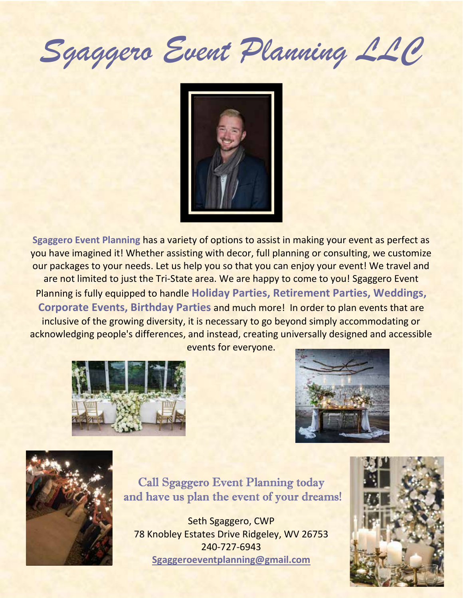Sgaggero Event Planning LLC



Sgaggero Event Planning has a variety of options to assist in making your event as perfect as you have imagined it! Whether assisting with decor, full planning or consulting, we customize our packages to your needs. Let us help you so that you can enjoy your event! We travel and are not limited to just the Tri-State area. We are happy to come to you! Sgaggero Event Planning is fully equipped to handle Holiday Parties, Retirement Parties, Weddings, Corporate Events, Birthday Parties and much more! In order to plan events that are inclusive of the growing diversity, it is necessary to go beyond simply accommodating or acknowledging people's differences, and instead, creating universally designed and accessible events for everyone.







Call Sgaggero Event Planning today and have us plan the event of your dreams!

Seth Sgaggero, CWP 78 Knobley Estates Drive Ridgeley, WV 26753 240-727-6943 Sgaggeroeventplanning@gmail.com

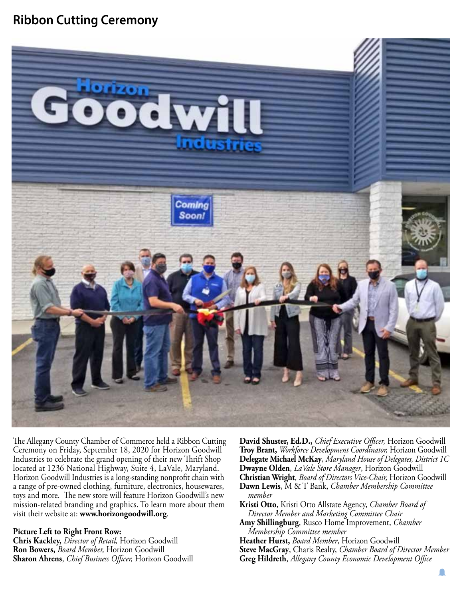## **Ribbon Cutting Ceremony**



The Allegany County Chamber of Commerce held a Ribbon Cutting Ceremony on Friday, September 18, 2020 for Horizon Goodwill Industries to celebrate the grand opening of their new Thrift Shop located at 1236 National Highway, Suite 4, LaVale, Maryland. Horizon Goodwill Industries is a long-standing nonprofit chain with a range of pre-owned clothing, furniture, electronics, housewares, toys and more. The new store will feature Horizon Goodwill's new mission-related branding and graphics. To learn more about them visit their website at: **www.horizongoodwill.org**.

#### **Picture Left to Right Front Row:**

**Chris Kackley,** *Director of Retail,* Horizon Goodwill **Ron Bowers,** *Board Member,* Horizon Goodwill **Sharon Ahrens**, *Chief Business Officer,* Horizon Goodwill **David Shuster, Ed.D.,** *Chief Executive Officer,* Horizon Goodwill **Troy Brant,** *Workforce Development Coordinator,* Horizon Goodwill **Delegate Michael McKay***, Maryland House of Delegates, District 1C*  **Dwayne Olden**, *LaVale Store Manager*, Horizon Goodwill **Christian Wright**, *Board of Directors Vice-Chair,* Horizon Goodwill **Dawn Lewis**, M & T Bank, *Chamber Membership Committee member*

**Kristi Otto**, Kristi Otto Allstate Agency, *Chamber Board of Director Member and Marketing Committee Chair* 

- **Amy Shillingburg**, Rusco Home Improvement, *Chamber Membership Committee member*
- **Heather Hurst,** *Board Member*, Horizon Goodwill

**Steve MacGray**, Charis Realty, *Chamber Board of Director Member*

**Greg Hildreth**, *Allegany County Economic Development Office*